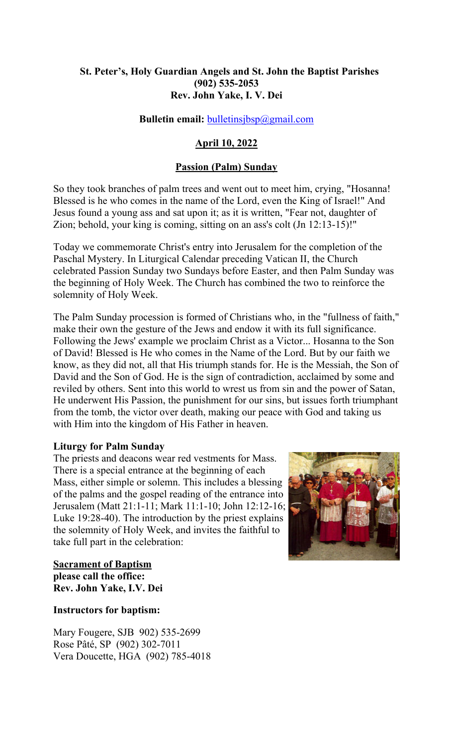## **St. Peter's, Holy Guardian Angels and St. John the Baptist Parishes (902) 535-2053 Rev. John Yake, I. V. Dei**

## **Bulletin email:** [bulletinsjbsp@gmail.com](mailto:bulletinsjbsp@gmail.com)

# **April 10, 2022**

#### **Passion (Palm) Sunday**

So they took branches of palm trees and went out to meet him, crying, "Hosanna! Blessed is he who comes in the name of the Lord, even the King of Israel!" And Jesus found a young ass and sat upon it; as it is written, "Fear not, daughter of Zion; behold, your king is coming, sitting on an ass's colt (Jn 12:13-15)!"

Today we commemorate Christ's entry into Jerusalem for the completion of the Paschal Mystery. In Liturgical Calendar preceding Vatican II, the Church celebrated Passion Sunday two Sundays before Easter, and then Palm Sunday was the beginning of Holy Week. The Church has combined the two to reinforce the solemnity of Holy Week.

The Palm Sunday procession is formed of Christians who, in the "fullness of faith," make their own the gesture of the Jews and endow it with its full significance. Following the Jews' example we proclaim Christ as a Victor... Hosanna to the Son of David! Blessed is He who comes in the Name of the Lord. But by our faith we know, as they did not, all that His triumph stands for. He is the Messiah, the Son of David and the Son of God. He is the sign of contradiction, acclaimed by some and reviled by others. Sent into this world to wrest us from sin and the power of Satan, He underwent His Passion, the punishment for our sins, but issues forth triumphant from the tomb, the victor over death, making our peace with God and taking us with Him into the kingdom of His Father in heaven.

#### **Liturgy for Palm Sunday**

The priests and deacons wear red vestments for Mass. There is a special entrance at the beginning of each Mass, either simple or solemn. This includes a blessing of the palms and the gospel reading of the entrance into Jerusalem (Matt 21:1-11; Mark 11:1-10; John 12:12-16; Luke 19:28-40). The introduction by the priest explains the solemnity of Holy Week, and invites the faithful to take full part in the celebration:



**Sacrament of Baptism please call the office: Rev. John Yake, I.V. Dei** 

#### **Instructors for baptism:**

Mary Fougere, SJB 902) 535-2699 Rose Pâté, SP (902) 302-7011 Vera Doucette, HGA (902) 785-4018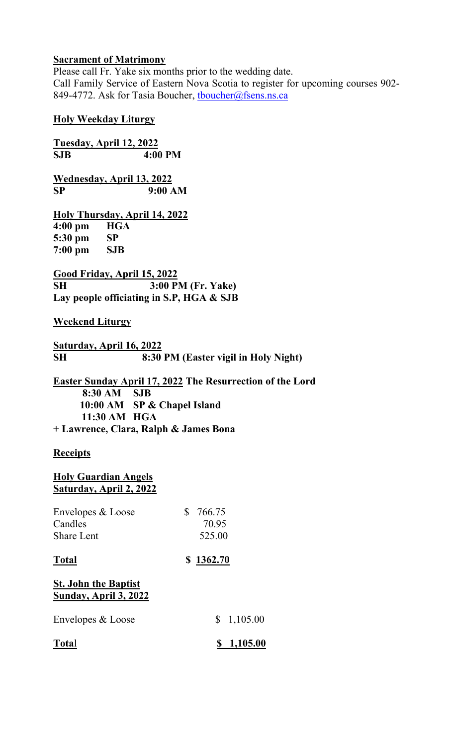# **Sacrament of Matrimony**

Please call Fr. Yake six months prior to the wedding date. Call Family Service of Eastern Nova Scotia to register for upcoming courses 902- 849-4772. Ask for Tasia Boucher, thoucher@fsens.ns.ca

## **Holy Weekday Liturgy**

**Tuesday, April 12, 2022 SJB 4:00 PM**

**Wednesday, April 13, 2022 SP 9:00 AM**

**Holy Thursday, April 14, 2022 4:00 pm HGA 5:30 pm SP 7:00 pm SJB** 

**Good Friday, April 15, 2022 SH 3:00 PM (Fr. Yake) Lay people officiating in S.P, HGA & SJB**

## **Weekend Liturgy**

**Saturday, April 16, 2022 SH 8:30 PM (Easter vigil in Holy Night)**

**Easter Sunday April 17, 2022 The Resurrection of the Lord 8:30 AM SJB 10:00 AM SP & Chapel Island 11:30 AM HGA + Lawrence, Clara, Ralph & James Bona** 

# **Receipts**

## **Holy Guardian Angels Saturday, April 2, 2022**

| Envelopes & Loose | \$766.75 |
|-------------------|----------|
| Candles           | 70.95    |
| <b>Share Lent</b> | 525.00   |

## **Total \$ 1362.70**

# **St. John the Baptist Sunday, April 3, 2022**

| <b>Total</b>      | \$1,105.00 |
|-------------------|------------|
| Envelopes & Loose | \$1,105.00 |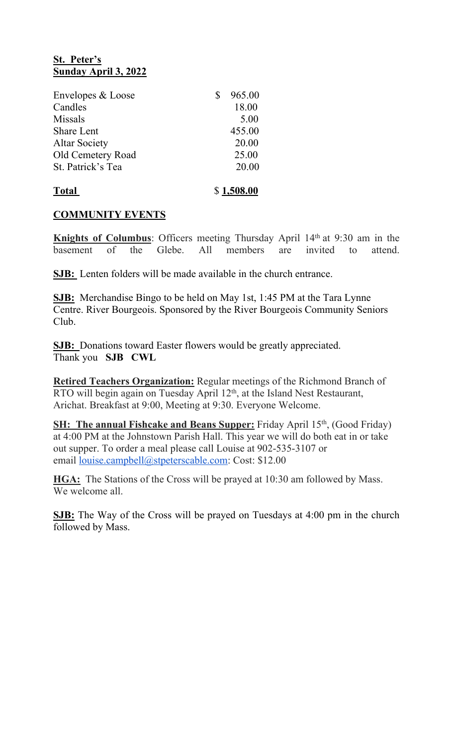# **St. Peter's Sunday April 3, 2022**

| Envelopes & Loose    | 965.00     |
|----------------------|------------|
| Candles              | 18.00      |
| <b>Missals</b>       | 5.00       |
| <b>Share Lent</b>    | 455.00     |
| <b>Altar Society</b> | 20.00      |
| Old Cemetery Road    | 25.00      |
| St. Patrick's Tea    | 20.00      |
| <b>Total</b>         | \$1,508.00 |

## **COMMUNITY EVENTS**

**Knights of Columbus**: Officers meeting Thursday April 14<sup>th</sup> at 9:30 am in the basement of the Glebe. All members are invited to attend.

**SJB:** Lenten folders will be made available in the church entrance.

**SJB:** Merchandise Bingo to be held on May 1st, 1:45 PM at the Tara Lynne Centre. River Bourgeois. Sponsored by the River Bourgeois Community Seniors Club.

**SJB:** Donations toward Easter flowers would be greatly appreciated. Thank you **SJB CWL**

**Retired Teachers Organization:** Regular meetings of the Richmond Branch of RTO will begin again on Tuesday April 12<sup>th</sup>, at the Island Nest Restaurant, Arichat. Breakfast at 9:00, Meeting at 9:30. Everyone Welcome.

**SH: The annual Fishcake and Beans Supper:** Friday April 15<sup>th</sup>, (Good Friday) at 4:00 PM at the Johnstown Parish Hall. This year we will do both eat in or take out supper. To order a meal please call Louise at 902-535-3107 or email [louise.campbell@stpeterscable.com:](mailto:louise.campbell@stpeterscable.com) Cost: \$12.00

**HGA:** The Stations of the Cross will be prayed at 10:30 am followed by Mass. We welcome all

**SJB:** The Way of the Cross will be prayed on Tuesdays at 4:00 pm in the church followed by Mass.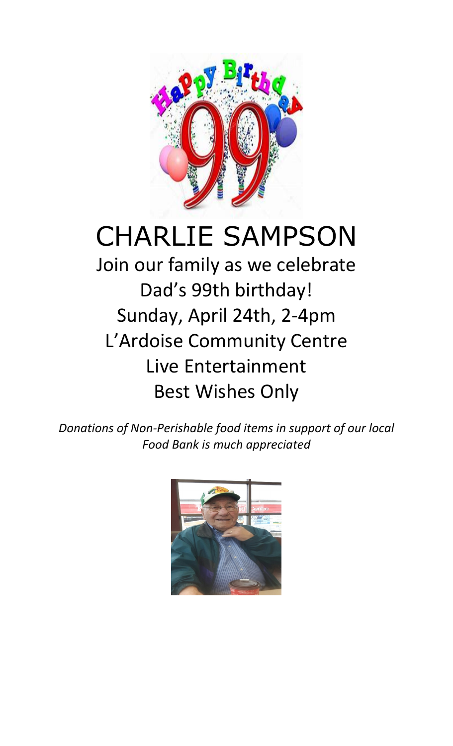

# CHARLIE SAMPSON

Join our family as we celebrate Dad's 99th birthday! Sunday, April 24th, 2-4pm L'Ardoise Community Centre Live Entertainment Best Wishes Only

*Donations of Non-Perishable food items in support of our local Food Bank is much appreciated*

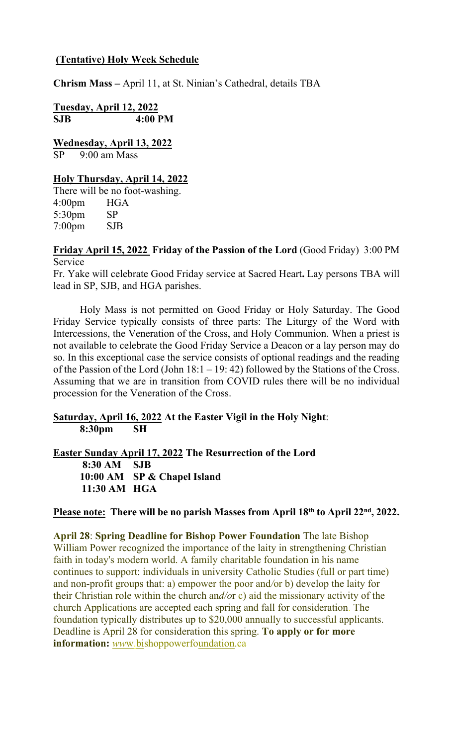# **(Tentative) Holy Week Schedule**

**Chrism Mass –** April 11, at St. Ninian's Cathedral, details TBA

**Tuesday, April 12, 2022 SJB 4:00 PM**

**Wednesday, April 13, 2022** SP 9:00 am Mass

# **Holy Thursday, April 14, 2022**

There will be no foot-washing. 4:00pm HGA 5:30pm SP 7:00pm SJB

**Friday April 15, 2022 Friday of the Passion of the Lord** (Good Friday) 3:00 PM Service

Fr. Yake will celebrate Good Friday service at Sacred Heart**.** Lay persons TBA will lead in SP, SJB, and HGA parishes.

Holy Mass is not permitted on Good Friday or Holy Saturday. The Good Friday Service typically consists of three parts: The Liturgy of the Word with Intercessions, the Veneration of the Cross, and Holy Communion. When a priest is not available to celebrate the Good Friday Service a Deacon or a lay person may do so. In this exceptional case the service consists of optional readings and the reading of the Passion of the Lord (John 18:1 – 19: 42) followed by the Stations of the Cross. Assuming that we are in transition from COVID rules there will be no individual procession for the Veneration of the Cross.

**Saturday, April 16, 2022 At the Easter Vigil in the Holy Night**: **8:30pm SH**

**Easter Sunday April 17, 2022 The Resurrection of the Lord 8:30 AM SJB 10:00 AM SP & Chapel Island 11:30 AM HGA**

#### **Please note: There will be no parish Masses from April 18th to April 22nd, 2022.**

**April 28**: **Spring Deadline for Bishop Power Foundation** The late Bishop William Power recognized the importance of the laity in strengthening Christian faith in today's modern world. A family charitable foundation in his name continues to support: individuals in university Catholic Studies (full or part time) and non-profit groups that: a) empower the poor and*/*or b) develop the laity for their Christian role within the church an*d/o*r c) aid the missionary activity of the church Applications are accepted each spring and fall for consideration. The foundation typically distributes up to \$20,000 annually to successful applicants. Deadline is April 28 for consideration this spring. **To apply or for more information:** *ww*w.bishoppowerfoundation.ca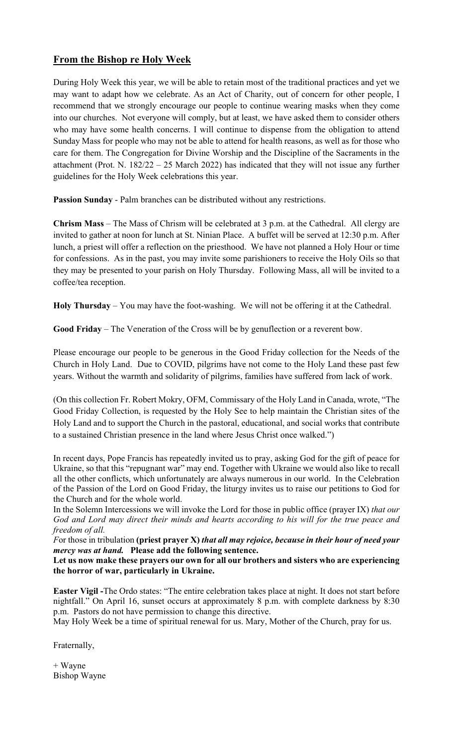# **From the Bishop re Holy Week**

During Holy Week this year, we will be able to retain most of the traditional practices and yet we may want to adapt how we celebrate. As an Act of Charity, out of concern for other people, I recommend that we strongly encourage our people to continue wearing masks when they come into our churches. Not everyone will comply, but at least, we have asked them to consider others who may have some health concerns. I will continue to dispense from the obligation to attend Sunday Mass for people who may not be able to attend for health reasons, as well as for those who care for them. The Congregation for Divine Worship and the Discipline of the Sacraments in the attachment (Prot. N. 182/22 – 25 March 2022) has indicated that they will not issue any further guidelines for the Holy Week celebrations this year.

**Passion Sunday** - Palm branches can be distributed without any restrictions.

**Chrism Mass** – The Mass of Chrism will be celebrated at 3 p.m. at the Cathedral. All clergy are invited to gather at noon for lunch at St. Ninian Place. A buffet will be served at 12:30 p.m. After lunch, a priest will offer a reflection on the priesthood. We have not planned a Holy Hour or time for confessions. As in the past, you may invite some parishioners to receive the Holy Oils so that they may be presented to your parish on Holy Thursday. Following Mass, all will be invited to a coffee/tea reception.

**Holy Thursday** – You may have the foot-washing. We will not be offering it at the Cathedral.

**Good Friday** – The Veneration of the Cross will be by genuflection or a reverent bow.

Please encourage our people to be generous in the Good Friday collection for the Needs of the Church in Holy Land. Due to COVID, pilgrims have not come to the Holy Land these past few years. Without the warmth and solidarity of pilgrims, families have suffered from lack of work.

(On this collection Fr. Robert Mokry, OFM, Commissary of the Holy Land in Canada, wrote, "The Good Friday Collection, is requested by the Holy See to help maintain the Christian sites of the Holy Land and to support the Church in the pastoral, educational, and social works that contribute to a sustained Christian presence in the land where Jesus Christ once walked.")

In recent days, Pope Francis has repeatedly invited us to pray, asking God for the gift of peace for Ukraine, so that this "repugnant war" may end. Together with Ukraine we would also like to recall all the other conflicts, which unfortunately are always numerous in our world. In the Celebration of the Passion of the Lord on Good Friday, the liturgy invites us to raise our petitions to God for the Church and for the whole world.

In the Solemn Intercessions we will invoke the Lord for those in public office (prayer IX) *that our God and Lord may direct their minds and hearts according to his will for the true peace and freedom of all.* 

*F*or those in tribulation **(priest prayer X)** *that all may rejoice, because in their hour of need your mercy was at hand.* **Please add the following sentence.** 

**Let us now make these prayers our own for all our brothers and sisters who are experiencing the horror of war, particularly in Ukraine.**

**Easter Vigil -**The Ordo states: "The entire celebration takes place at night. It does not start before nightfall." On April 16, sunset occurs at approximately 8 p.m. with complete darkness by 8:30 p.m. Pastors do not have permission to change this directive.

May Holy Week be a time of spiritual renewal for us. Mary, Mother of the Church, pray for us.

Fraternally,

+ Wayne Bishop Wayne